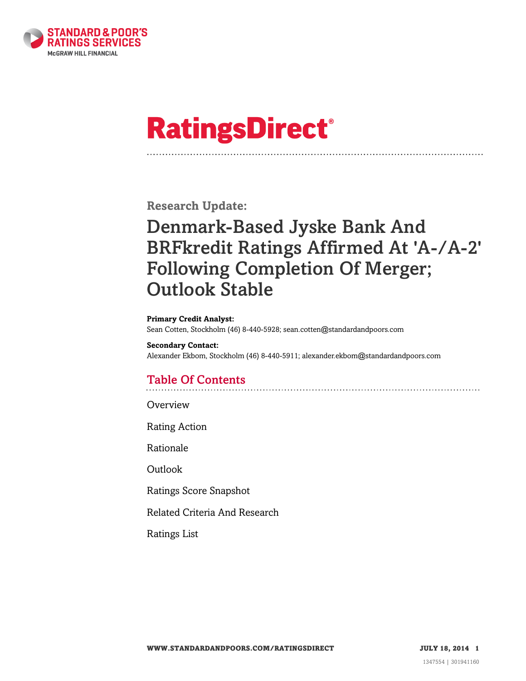

# **RatingsDirect®**

**Research Update:**

# Denmark-Based Jyske Bank And BRFkredit Ratings Affirmed At 'A-/A-2' Following Completion Of Merger; Outlook Stable

#### **Primary Credit Analyst:**

Sean Cotten, Stockholm (46) 8-440-5928; sean.cotten@standardandpoors.com

#### **Secondary Contact:** Alexander Ekbom, Stockholm (46) 8-440-5911; alexander.ekbom@standardandpoors.com

## Table Of Contents

[Overview](#page-1-0)

[Rating Action](#page-1-1)

[Rationale](#page-1-2)

[Outlook](#page-2-0)

[Ratings Score Snapshot](#page-3-0)

[Related Criteria And Research](#page-3-1)

[Ratings List](#page-3-2)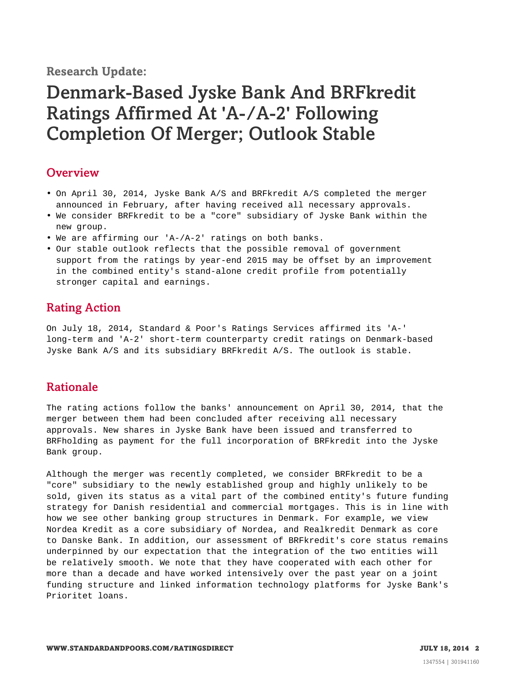#### **Research Update:**

# Denmark-Based Jyske Bank And BRFkredit Ratings Affirmed At 'A-/A-2' Following Completion Of Merger; Outlook Stable

#### <span id="page-1-0"></span>**Overview**

- On April 30, 2014, Jyske Bank A/S and BRFkredit A/S completed the merger announced in February, after having received all necessary approvals.
- We consider BRFkredit to be a "core" subsidiary of Jyske Bank within the new group.
- We are affirming our 'A-/A-2' ratings on both banks.
- Our stable outlook reflects that the possible removal of government support from the ratings by year-end 2015 may be offset by an improvement in the combined entity's stand-alone credit profile from potentially stronger capital and earnings.

#### <span id="page-1-1"></span>Rating Action

On July 18, 2014, Standard & Poor's Ratings Services affirmed its 'A-' long-term and 'A-2' short-term counterparty credit ratings on Denmark-based Jyske Bank A/S and its subsidiary BRFkredit A/S. The outlook is stable.

#### <span id="page-1-2"></span>Rationale

The rating actions follow the banks' announcement on April 30, 2014, that the merger between them had been concluded after receiving all necessary approvals. New shares in Jyske Bank have been issued and transferred to BRFholding as payment for the full incorporation of BRFkredit into the Jyske Bank group.

Although the merger was recently completed, we consider BRFkredit to be a "core" subsidiary to the newly established group and highly unlikely to be sold, given its status as a vital part of the combined entity's future funding strategy for Danish residential and commercial mortgages. This is in line with how we see other banking group structures in Denmark. For example, we view Nordea Kredit as a core subsidiary of Nordea, and Realkredit Denmark as core to Danske Bank. In addition, our assessment of BRFkredit's core status remains underpinned by our expectation that the integration of the two entities will be relatively smooth. We note that they have cooperated with each other for more than a decade and have worked intensively over the past year on a joint funding structure and linked information technology platforms for Jyske Bank's Prioritet loans.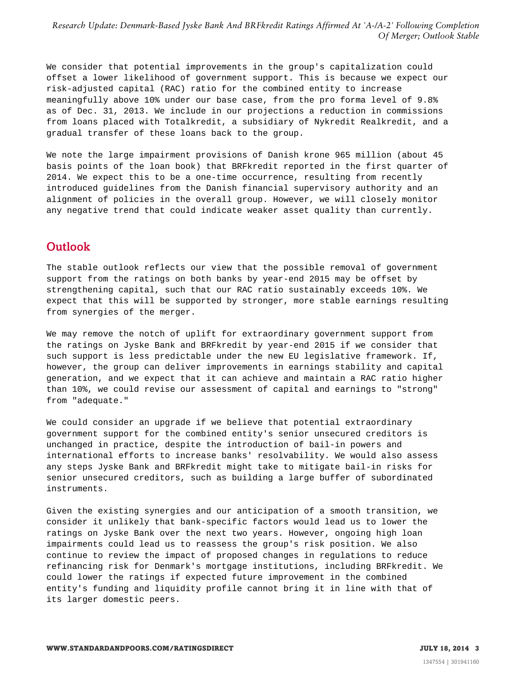*Research Update: Denmark-Based Jyske Bank And BRFkredit Ratings Affirmed At 'A-/A-2' Following Completion Of Merger; Outlook Stable*

We consider that potential improvements in the group's capitalization could offset a lower likelihood of government support. This is because we expect our risk-adjusted capital (RAC) ratio for the combined entity to increase meaningfully above 10% under our base case, from the pro forma level of 9.8% as of Dec. 31, 2013. We include in our projections a reduction in commissions from loans placed with Totalkredit, a subsidiary of Nykredit Realkredit, and a gradual transfer of these loans back to the group.

We note the large impairment provisions of Danish krone 965 million (about 45 basis points of the loan book) that BRFkredit reported in the first quarter of 2014. We expect this to be a one-time occurrence, resulting from recently introduced guidelines from the Danish financial supervisory authority and an alignment of policies in the overall group. However, we will closely monitor any negative trend that could indicate weaker asset quality than currently.

#### <span id="page-2-0"></span>**Outlook**

The stable outlook reflects our view that the possible removal of government support from the ratings on both banks by year-end 2015 may be offset by strengthening capital, such that our RAC ratio sustainably exceeds 10%. We expect that this will be supported by stronger, more stable earnings resulting from synergies of the merger.

We may remove the notch of uplift for extraordinary government support from the ratings on Jyske Bank and BRFkredit by year-end 2015 if we consider that such support is less predictable under the new EU legislative framework. If, however, the group can deliver improvements in earnings stability and capital generation, and we expect that it can achieve and maintain a RAC ratio higher than 10%, we could revise our assessment of capital and earnings to "strong" from "adequate."

We could consider an upgrade if we believe that potential extraordinary government support for the combined entity's senior unsecured creditors is unchanged in practice, despite the introduction of bail-in powers and international efforts to increase banks' resolvability. We would also assess any steps Jyske Bank and BRFkredit might take to mitigate bail-in risks for senior unsecured creditors, such as building a large buffer of subordinated instruments.

Given the existing synergies and our anticipation of a smooth transition, we consider it unlikely that bank-specific factors would lead us to lower the ratings on Jyske Bank over the next two years. However, ongoing high loan impairments could lead us to reassess the group's risk position. We also continue to review the impact of proposed changes in regulations to reduce refinancing risk for Denmark's mortgage institutions, including BRFkredit. We could lower the ratings if expected future improvement in the combined entity's funding and liquidity profile cannot bring it in line with that of its larger domestic peers.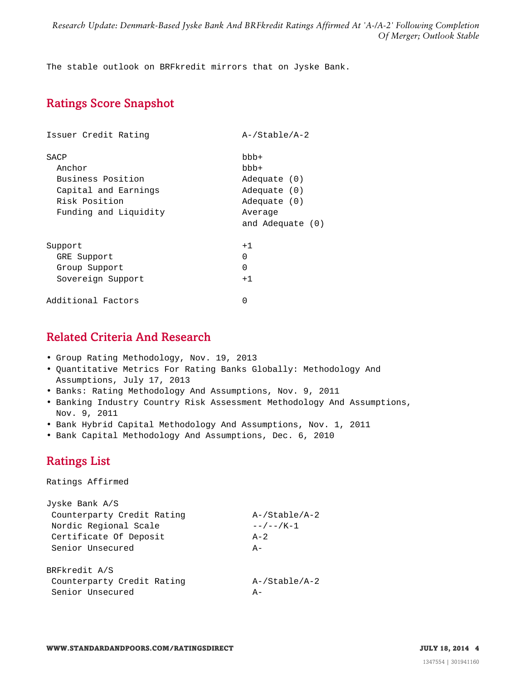The stable outlook on BRFkredit mirrors that on Jyske Bank.

### <span id="page-3-0"></span>Ratings Score Snapshot

| Issuer Credit Rating  | $A$ -/Stable/A-2   |
|-----------------------|--------------------|
| SACP                  | $bbb +$            |
| Anchor                | bbb+               |
| Business Position     | Adequate (0)       |
| Capital and Earnings  | Adequate (0)       |
| Risk Position         | Adequate (0)       |
| Funding and Liquidity | Average            |
|                       | and Adequate $(0)$ |
| Support               | $+1$               |
| GRE Support           | 0                  |
| Group Support         | $\Omega$           |
| Sovereign Support     | $+1$               |
| Additional Factors    | $\Omega$           |

### <span id="page-3-1"></span>Related Criteria And Research

- Group Rating Methodology, Nov. 19, 2013
- Quantitative Metrics For Rating Banks Globally: Methodology And Assumptions, July 17, 2013
- Banks: Rating Methodology And Assumptions, Nov. 9, 2011
- Banking Industry Country Risk Assessment Methodology And Assumptions, Nov. 9, 2011
- Bank Hybrid Capital Methodology And Assumptions, Nov. 1, 2011
- <span id="page-3-2"></span>• Bank Capital Methodology And Assumptions, Dec. 6, 2010

### Ratings List

Ratings Affirmed

| Jyske Bank A/S             |                     |
|----------------------------|---------------------|
| Counterparty Credit Rating | A-/Stable/A-2       |
| Nordic Regional Scale      | $- - / - - / K - 1$ |
| Certificate Of Deposit     | $A - 2$             |
| Senior Unsecured           | $A -$               |
| BRFkredit A/S              |                     |
| Counterparty Credit Rating | $A$ -/Stable/A-2    |
| Senior Unsecured           | $A -$               |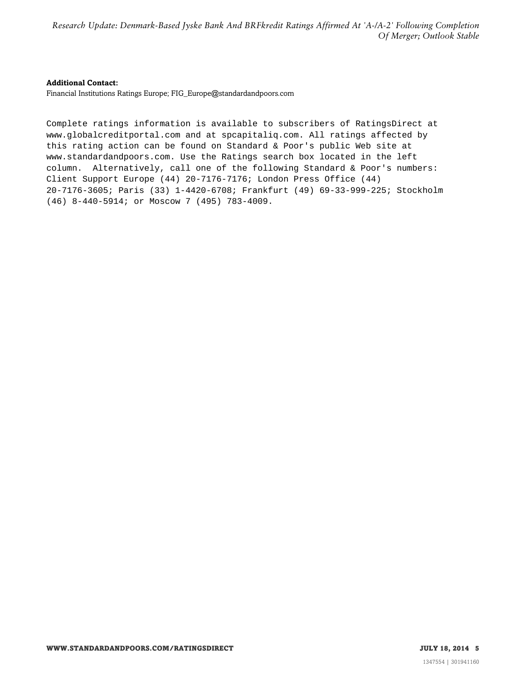*Research Update: Denmark-Based Jyske Bank And BRFkredit Ratings Affirmed At 'A-/A-2' Following Completion Of Merger; Outlook Stable*

#### **Additional Contact:**

Financial Institutions Ratings Europe; FIG\_Europe@standardandpoors.com

Complete ratings information is available to subscribers of RatingsDirect at www.globalcreditportal.com and at spcapitaliq.com. All ratings affected by this rating action can be found on Standard & Poor's public Web site at www.standardandpoors.com. Use the Ratings search box located in the left column. Alternatively, call one of the following Standard & Poor's numbers: Client Support Europe (44) 20-7176-7176; London Press Office (44) 20-7176-3605; Paris (33) 1-4420-6708; Frankfurt (49) 69-33-999-225; Stockholm (46) 8-440-5914; or Moscow 7 (495) 783-4009.